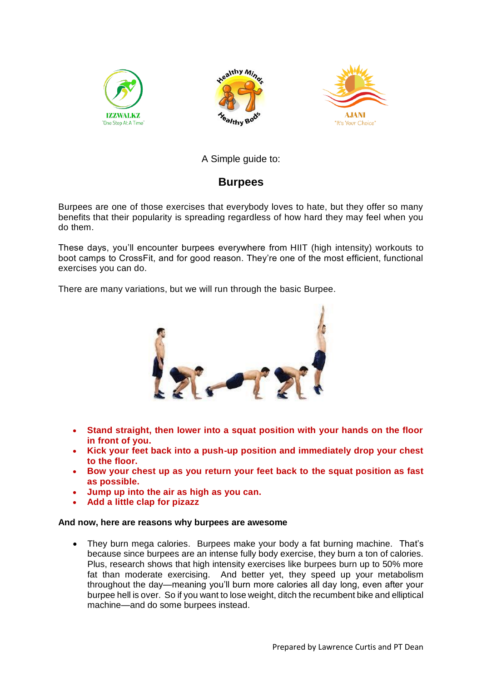





## A Simple guide to:

## **Burpees**

Burpees are one of those exercises that everybody loves to hate, but they offer so many benefits that their popularity is spreading regardless of how hard they may feel when you do them.

These days, you'll encounter burpees everywhere from HIIT (high intensity) workouts to boot camps to CrossFit, and for good reason. They're one of the most efficient, functional exercises you can do.

There are many variations, but we will run through the basic Burpee.



- **Stand straight, then lower into a squat position with your hands on the floor in front of you.**
- **Kick your feet back into a push-up position and immediately drop your chest to the floor.**
- **Bow your chest up as you return your feet back to the squat position as fast as possible.**
- **Jump up into the air as high as you can.**
- **Add a little clap for pizazz**

## **And now, here are reasons why burpees are awesome**

 They burn mega calories. Burpees make your body a fat burning machine. That's because since burpees are an intense fully body exercise, they burn a ton of calories. Plus, research shows that high intensity exercises like burpees burn up to 50% more fat than moderate exercising. And better yet, they speed up your metabolism throughout the day—meaning you'll burn more calories all day long, even after your burpee hell is over. So if you want to lose weight, ditch the recumbent bike and elliptical machine—and do some burpees instead.